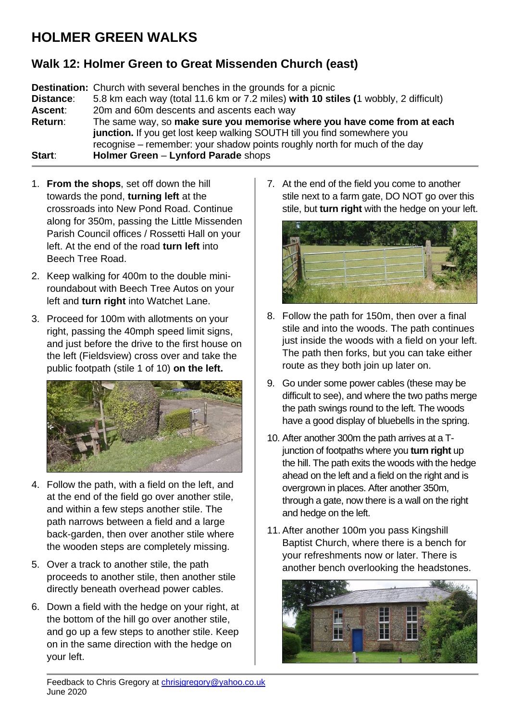## **HOLMER GREEN WALKS**

## **Walk 12: Holmer Green to Great Missenden Church (east)**

**Destination:** Church with several benches in the grounds for a picnic **Distance**: 5.8 km each way (total 11.6 km or 7.2 miles) **with 10 stiles (**1 wobbly, 2 difficult) **Ascent**: 20m and 60m descents and ascents each way **Return**: The same way, so **make sure you memorise where you have come from at each junction.** If you get lost keep walking SOUTH till you find somewhere you recognise – remember: your shadow points roughly north for much of the day **Start**: **Holmer Green** – **Lynford Parade** shops

- 1. **From the shops**, set off down the hill towards the pond, **turning left** at the crossroads into New Pond Road. Continue along for 350m, passing the Little Missenden Parish Council offices / Rossetti Hall on your left. At the end of the road **turn left** into Beech Tree Road.
- 2. Keep walking for 400m to the double miniroundabout with Beech Tree Autos on your left and **turn right** into Watchet Lane.
- 3. Proceed for 100m with allotments on your right, passing the 40mph speed limit signs, and just before the drive to the first house on the left (Fieldsview) cross over and take the public footpath (stile 1 of 10) **on the left.**



- 4. Follow the path, with a field on the left, and at the end of the field go over another stile, and within a few steps another stile. The path narrows between a field and a large back-garden, then over another stile where the wooden steps are completely missing.
- 5. Over a track to another stile, the path proceeds to another stile, then another stile directly beneath overhead power cables.
- 6. Down a field with the hedge on your right, at the bottom of the hill go over another stile, and go up a few steps to another stile. Keep on in the same direction with the hedge on your left.

7. At the end of the field you come to another stile next to a farm gate, DO NOT go over this stile, but **turn right** with the hedge on your left.



- 8. Follow the path for 150m, then over a final stile and into the woods. The path continues just inside the woods with a field on your left. The path then forks, but you can take either route as they both join up later on.
- 9. Go under some power cables (these may be difficult to see), and where the two paths merge the path swings round to the left. The woods have a good display of bluebells in the spring.
- 10. After another 300m the path arrives at a Tjunction of footpaths where you **turn right** up the hill. The path exits the woods with the hedge ahead on the left and a field on the right and is overgrown in places. After another 350m, through a gate, now there is a wall on the right and hedge on the left.
- 11. After another 100m you pass Kingshill Baptist Church, where there is a bench for your refreshments now or later. There is another bench overlooking the headstones.